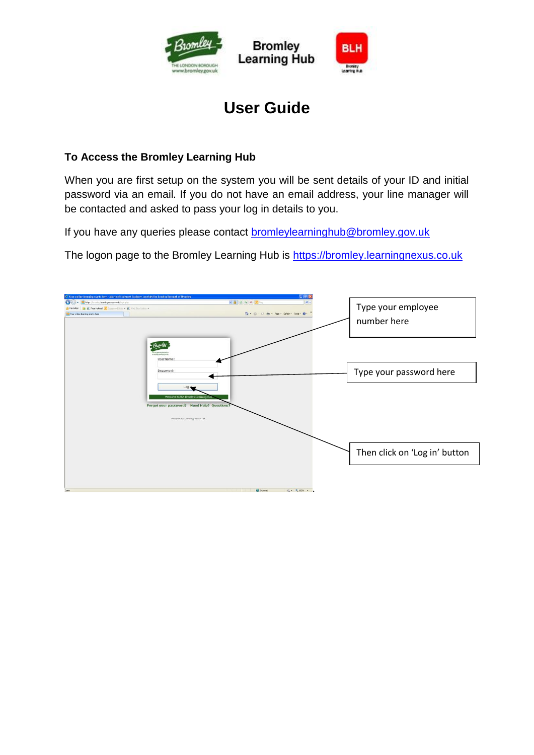

# **User Guide**

### **To Access the Bromley Learning Hub**

When you are first setup on the system you will be sent details of your ID and initial password via an email. If you do not have an email address, your line manager will be contacted and asked to pass your log in details to you.

If you have any queries please contact **bromleylearninghub@bromley.gov.uk** 

The logon page to the Bromley Learning Hub is [https://bromley.learningnexus.co.uk](https://bromley.learningnexus.co.uk/)

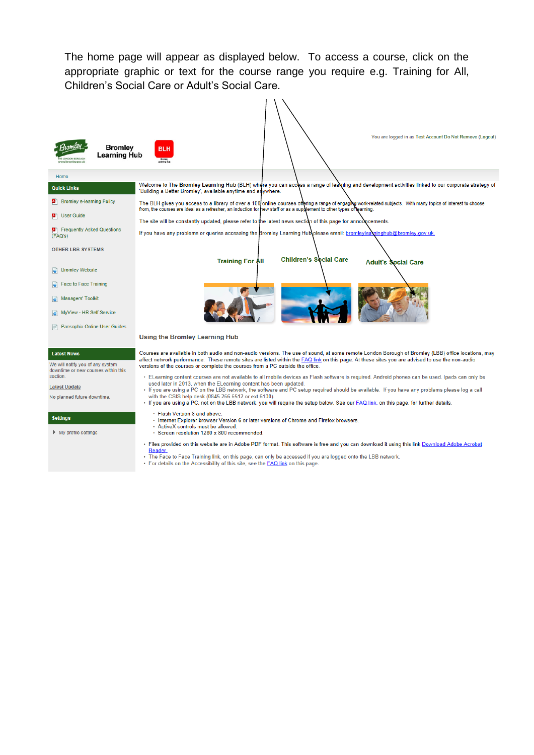The home page will appear as displayed below. To access a course, click on the appropriate graphic or text for the course range you require e.g. Training for All, Children's Social Care or Adult's Social Care.

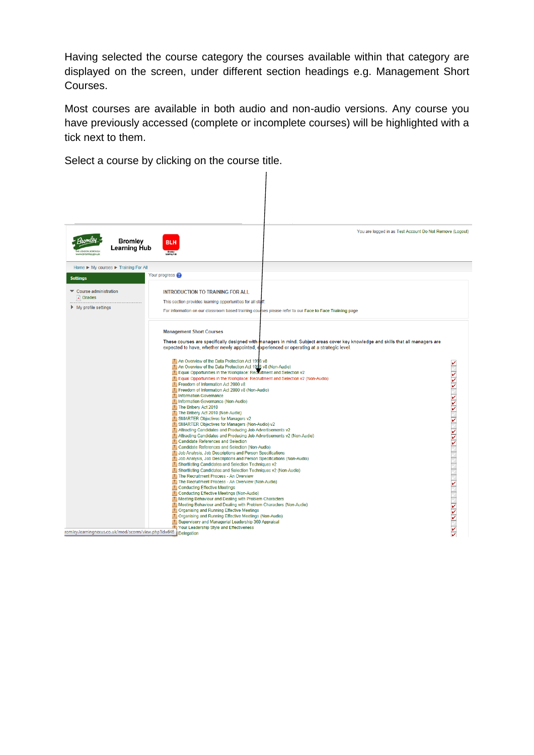Having selected the course category the courses available within that category are displayed on the screen, under different section headings e.g. Management Short Courses.

Most courses are available in both audio and non-audio versions. Any course you have previously accessed (complete or incomplete courses) will be highlighted with a tick next to them.

Select a course by clicking on the course title.

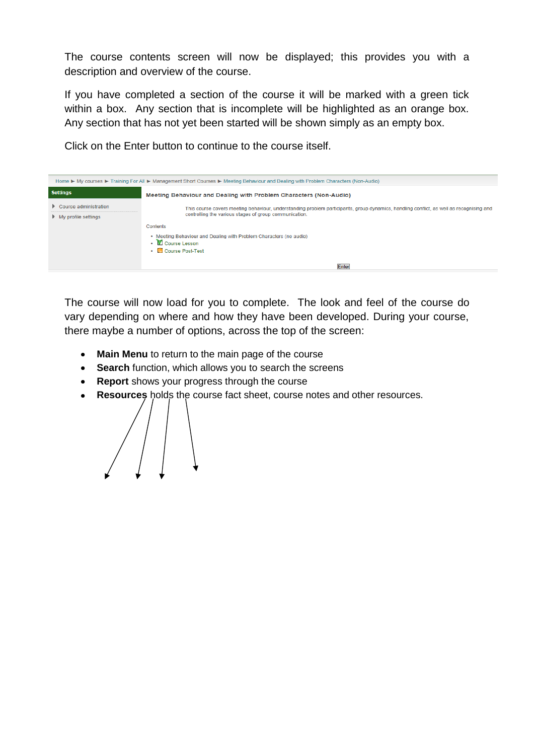The course contents screen will now be displayed; this provides you with a description and overview of the course.

If you have completed a section of the course it will be marked with a green tick within a box. Any section that is incomplete will be highlighted as an orange box. Any section that has not yet been started will be shown simply as an empty box.

Click on the Enter button to continue to the course itself.



The course will now load for you to complete. The look and feel of the course do vary depending on where and how they have been developed. During your course, there maybe a number of options, across the top of the screen:

- **Main Menu** to return to the main page of the course  $\bullet$
- **Search** function, which allows you to search the screens
- **Report** shows your progress through the course
- **Resources** holds the course fact sheet, course notes and other resources. $\bullet$

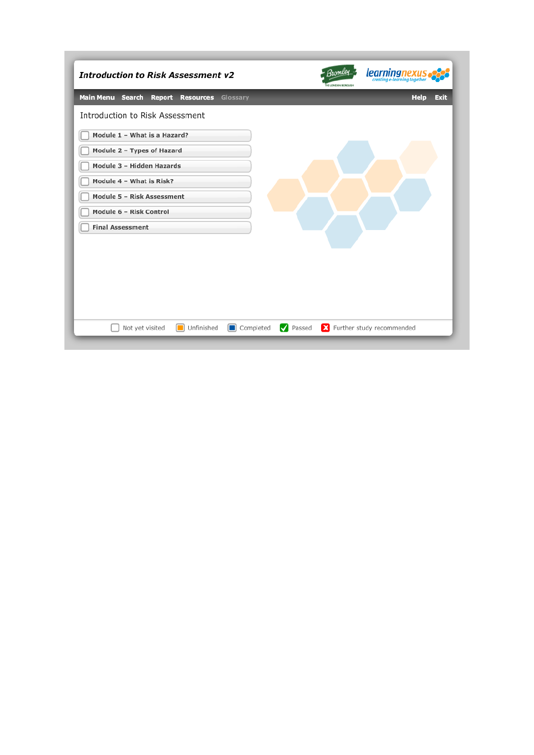| <b>Introduction to Risk Assessment v2</b>            | Bromley<br>learningnexus<br><b>HE LONDON BORDUGH</b> |
|------------------------------------------------------|------------------------------------------------------|
| Main Menu Search<br><b>Report Resources Glossary</b> | Help<br><b>Exit</b>                                  |
| Introduction to Risk Assessment                      |                                                      |
| Module 1 - What is a Hazard?                         |                                                      |
| Module 2 - Types of Hazard                           |                                                      |
| Module 3 - Hidden Hazards                            |                                                      |
| Module 4 - What is Risk?                             |                                                      |
| Module 5 - Risk Assessment                           |                                                      |
| Module 6 - Risk Control                              |                                                      |
| <b>Final Assessment</b>                              |                                                      |
|                                                      |                                                      |
|                                                      |                                                      |
|                                                      |                                                      |
|                                                      |                                                      |
|                                                      |                                                      |
|                                                      |                                                      |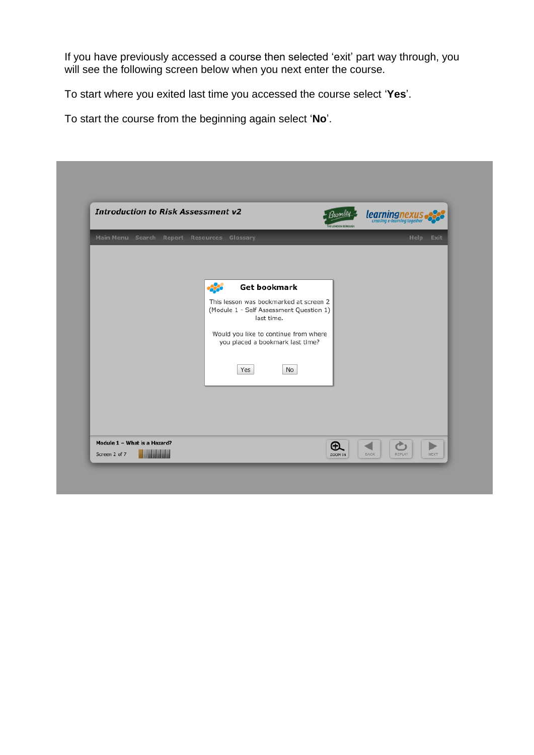If you have previously accessed a course then selected 'exit' part way through, you will see the following screen below when you next enter the course.

To start where you exited last time you accessed the course select '**Yes**'.

To start the course from the beginning again select '**No**'.

| <b>Introduction to Risk Assessment v2</b>     |                                                                                                                                                                                                                         | Zromley<br>HE LONDON BOROUGH | learningnexus.<br>creating e-learning together                     |
|-----------------------------------------------|-------------------------------------------------------------------------------------------------------------------------------------------------------------------------------------------------------------------------|------------------------------|--------------------------------------------------------------------|
| Main Menu Search Report Resources Glossary    |                                                                                                                                                                                                                         |                              | Help Exit                                                          |
|                                               | <b>Get bookmark</b><br>-33<br>This lesson was bookmarked at screen 2<br>(Module 1 - Self Assessment Question 1)<br>last time.<br>Would you like to continue from where<br>you placed a bookmark last time?<br>Yes<br>No |                              |                                                                    |
| Module 1 - What is a Hazard?<br>Screen 2 of 7 |                                                                                                                                                                                                                         | $\bigoplus$<br>ZOOM IN       | ò<br>$\blacktriangleright$<br><b>BACK</b><br>REPLAY<br><b>NEXT</b> |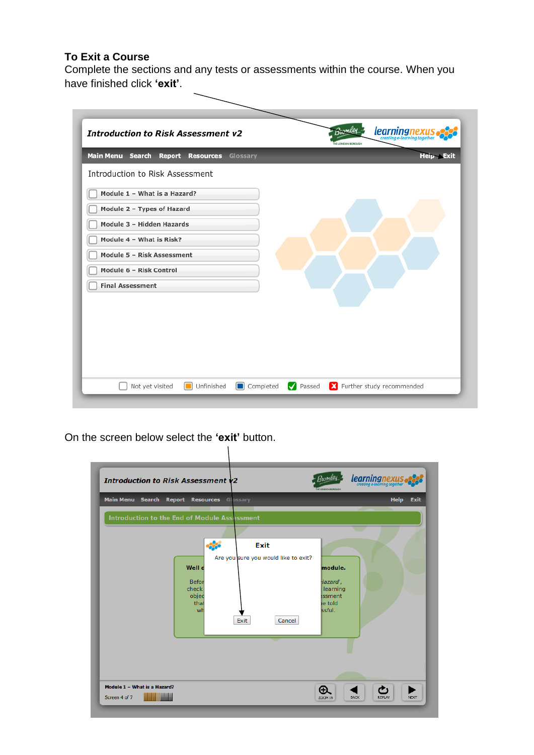### **To Exit a Course**

Complete the sections and any tests or assessments within the course. When you have finished click **'exit'**.

| <b>Introduction to Risk Assessment v2</b>               | <b>learningnexus</b><br>Bromley<br><b>HE LONDON BORDUGH</b> |
|---------------------------------------------------------|-------------------------------------------------------------|
| Main Menu Search<br>Report<br><b>Resources</b> Glossary | <b>Help Exit</b>                                            |
| Introduction to Risk Assessment                         |                                                             |
| Module 1 - What is a Hazard?                            |                                                             |
| Module 2 - Types of Hazard                              |                                                             |
| Module 3 - Hidden Hazards                               |                                                             |
| Module 4 - What is Risk?                                |                                                             |
| Module 5 - Risk Assessment                              |                                                             |
| Module 6 - Risk Control                                 |                                                             |
| <b>Final Assessment</b>                                 |                                                             |
|                                                         |                                                             |
|                                                         |                                                             |
|                                                         |                                                             |
|                                                         |                                                             |
|                                                         |                                                             |
|                                                         |                                                             |

On the screen below select the **'exit'** button.

 $\mathbf{I}$ 

| <b>Introduction to Risk Assessment v2</b>     |                                                              |                                                                | Bromley<br><b>HE LONDON BOROUGH</b>                           | <b>learning nexus</b>        |
|-----------------------------------------------|--------------------------------------------------------------|----------------------------------------------------------------|---------------------------------------------------------------|------------------------------|
| Main Menu Search Report Resources Glossary    |                                                              |                                                                |                                                               | <b>Help</b><br><b>Exit</b>   |
| Introduction to the End of Module Assessment  | 53<br>Well d<br><b>Befor</b><br>check<br>objec<br>that<br>wh | Exit<br>Are you sure you would like to exit?<br>Exit<br>Cancel | module.<br>Hazard',<br>learning<br>ssment<br>e told<br>ssful. |                              |
| Module 1 - What is a Hazard?<br>Screen 4 of 7 |                                                              |                                                                | ⊕<br><b>BACK</b><br>ZOOM IN                                   | <b>REPLAY</b><br><b>NEXT</b> |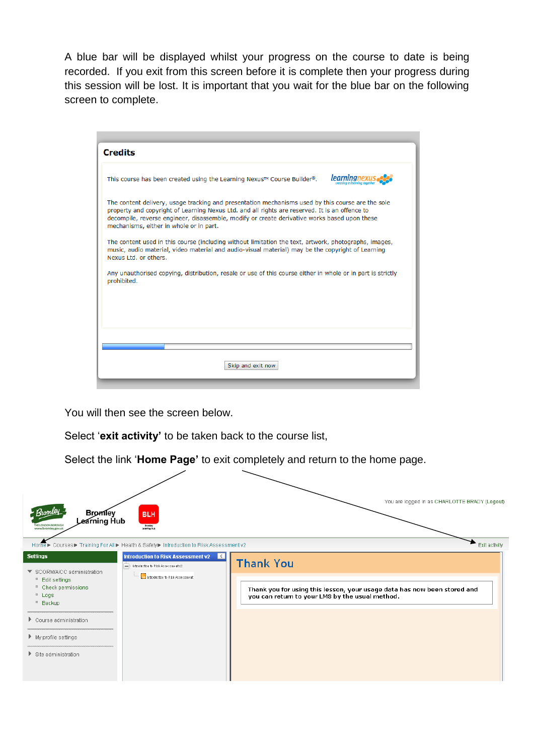A blue bar will be displayed whilst your progress on the course to date is being recorded. If you exit from this screen before it is complete then your progress during this session will be lost. It is important that you wait for the blue bar on the following screen to complete.

| <b>Credits</b>                                                                                                                                                                                                                                                                                                                                 |            |
|------------------------------------------------------------------------------------------------------------------------------------------------------------------------------------------------------------------------------------------------------------------------------------------------------------------------------------------------|------------|
| This course has been created using the Learning Nexus <sup><math>M</math></sup> Course Builder <sup>®</sup> .                                                                                                                                                                                                                                  | learningne |
| The content delivery, usage tracking and presentation mechanisms used by this course are the sole<br>property and copyright of Learning Nexus Ltd. and all rights are reserved. It is an offence to<br>decompile, reverse engineer, disassemble, modify or create derivative works based upon these<br>mechanisms, either in whole or in part. |            |
| The content used in this course (including without limitation the text, artwork, photographs, images,<br>music, audio material, video material and audio-visual material) may be the copyright of Learning<br>Nexus Ltd. or others.                                                                                                            |            |
| Any unauthorised copying, distribution, resale or use of this course either in whole or in part is strictly<br>prohibited.                                                                                                                                                                                                                     |            |
|                                                                                                                                                                                                                                                                                                                                                |            |
|                                                                                                                                                                                                                                                                                                                                                |            |
| Skip and exit now                                                                                                                                                                                                                                                                                                                              |            |

You will then see the screen below.

Select '**exit activity'** to be taken back to the course list,

Select the link '**Home Page'** to exit completely and return to the home page.

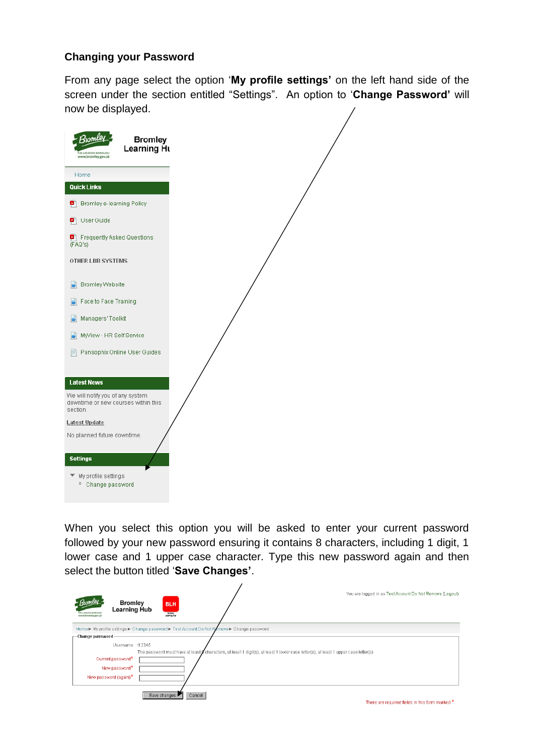#### **Changing your Password**

From any page select the option '**My profile settings'** on the left hand side of the screen under the section entitled "Settings". An option to '**Change Password'** will now be displayed.



When you select this option you will be asked to enter your current password followed by your new password ensuring it contains 8 characters, including 1 digit, 1 lower case and 1 upper case character. Type this new password again and then select the button titled '**Save Changes'**.

 $\lambda$ 

| <b>Bromley</b><br><b>Learning Hub</b><br>www.bromley.gov.uk | <b>BLH</b><br>Broniey<br>Learning Hub |                                                                                         | You are logged in as Test Account Do Not Remove (Logout)                                                                                  |
|-------------------------------------------------------------|---------------------------------------|-----------------------------------------------------------------------------------------|-------------------------------------------------------------------------------------------------------------------------------------------|
|                                                             |                                       | Home▶ My profile settings▶ Change password▶ Test Account Do Not Remove▶ Change password |                                                                                                                                           |
| Change password-                                            |                                       |                                                                                         |                                                                                                                                           |
| Usemame t12345                                              |                                       |                                                                                         |                                                                                                                                           |
|                                                             |                                       |                                                                                         | The password must have at least $\beta$ characters, at least 1 digit(s), at least 1 lower case letter(s), at least 1 upper case letter(s) |
| Current password*                                           |                                       |                                                                                         |                                                                                                                                           |
| New password*                                               |                                       |                                                                                         |                                                                                                                                           |
| New password (again)*                                       |                                       |                                                                                         |                                                                                                                                           |
|                                                             | Save changes<br>Cancel                |                                                                                         |                                                                                                                                           |
|                                                             |                                       |                                                                                         | There are required fields in this form marked *.                                                                                          |